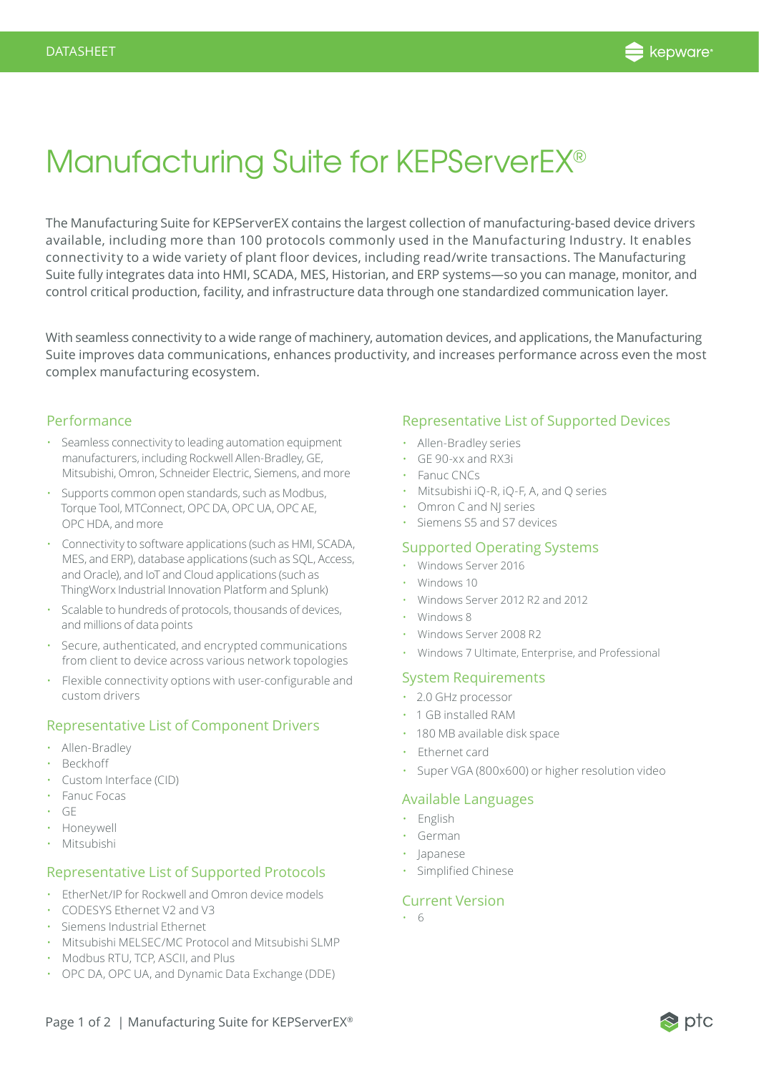

## Manufacturing Suite for KEPServerEX®

The Manufacturing Suite for KEPServerEX contains the largest collection of manufacturing-based device drivers available, including more than 100 protocols commonly used in the Manufacturing Industry. It enables connectivity to a wide variety of plant floor devices, including read/write transactions. The Manufacturing Suite fully integrates data into HMI, SCADA, MES, Historian, and ERP systems—so you can manage, monitor, and control critical production, facility, and infrastructure data through one standardized communication layer.

With seamless connectivity to a wide range of machinery, automation devices, and applications, the Manufacturing Suite improves data communications, enhances productivity, and increases performance across even the most complex manufacturing ecosystem.

#### Performance

- Seamless connectivity to leading automation equipment manufacturers, including Rockwell Allen-Bradley, GE, Mitsubishi, Omron, Schneider Electric, Siemens, and more
- Supports common open standards, such as Modbus, Torque Tool, MTConnect, OPC DA, OPC UA, OPC AE, OPC HDA, and more
- Connectivity to software applications (such as HMI, SCADA, MES, and ERP), database applications (such as SQL, Access, and Oracle), and IoT and Cloud applications (such as ThingWorx Industrial Innovation Platform and Splunk)
- Scalable to hundreds of protocols, thousands of devices, and millions of data points
- Secure, authenticated, and encrypted communications from client to device across various network topologies
- Flexible connectivity options with user-configurable and custom drivers

## Representative List of Component Drivers

- Allen-Bradley
- Beckhoff
- Custom Interface (CID)
- Fanuc Focas
- GE
- Honeywell
- Mitsubishi

## Representative List of Supported Protocols

- EtherNet/IP for Rockwell and Omron device models
- CODESYS Ethernet V2 and V3
- Siemens Industrial Ethernet
- Mitsubishi MELSEC/MC Protocol and Mitsubishi SLMP
- Modbus RTU, TCP, ASCII, and Plus
- OPC DA, OPC UA, and Dynamic Data Exchange (DDE)

#### Representative List of Supported Devices

- Allen-Bradley series
- GE 90-xx and RX3i
- Fanuc CNCs
- Mitsubishi iQ-R, iQ-F, A, and Q series
- Omron C and NJ series
- Siemens S5 and S7 devices

## Supported Operating Systems

- Windows Server 2016
- Windows 10
- Windows Server 2012 R2 and 2012
- Windows 8
- Windows Server 2008 R2
- Windows 7 Ultimate, Enterprise, and Professional

## System Requirements

- 2.0 GHz processor
- 1 GB installed RAM
- 180 MB available disk space
- Ethernet card
- Super VGA (800x600) or higher resolution video

## Available Languages

- English
- German
- Japanese
- Simplified Chinese

## Current Version

• 6